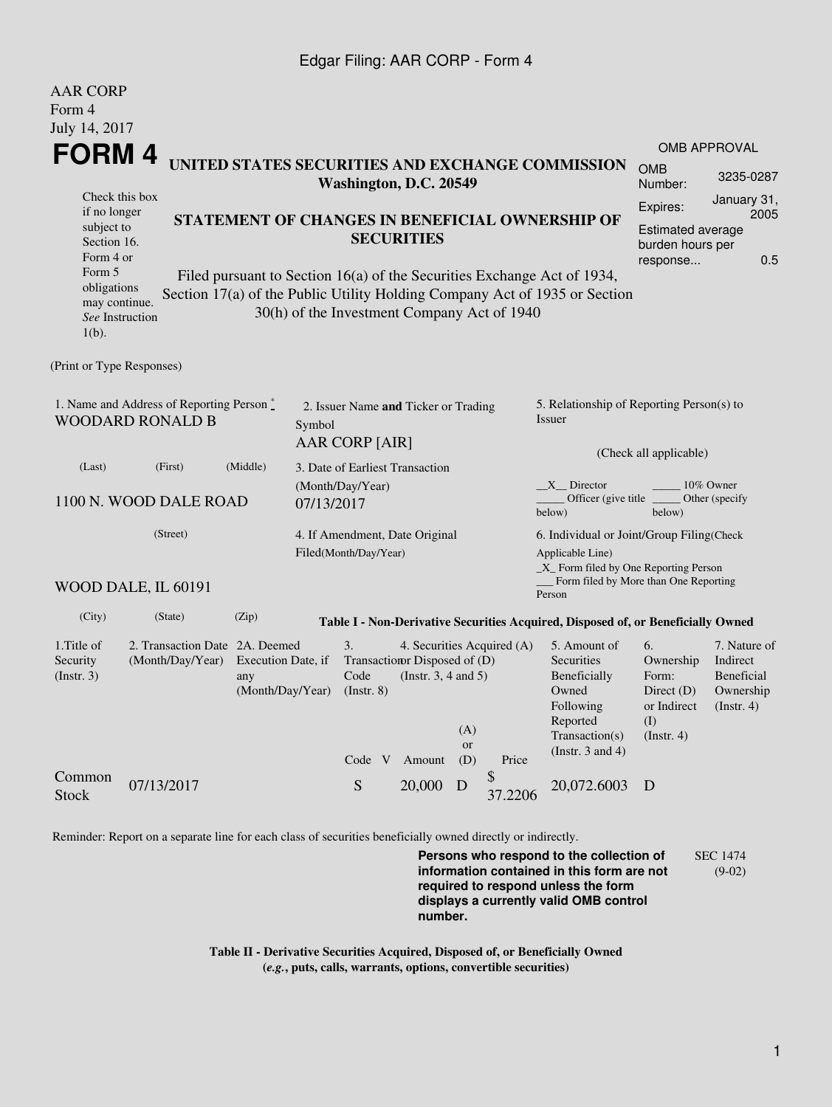## Edgar Filing: AAR CORP - Form 4

AAR CORP

| Form 4<br>July 14, 2017                                                                                            |                                                    |                                               |                                                                                                                                                                                                                                                                              |                                                                                                                                |                                                                                             |                                                                         |  |  |
|--------------------------------------------------------------------------------------------------------------------|----------------------------------------------------|-----------------------------------------------|------------------------------------------------------------------------------------------------------------------------------------------------------------------------------------------------------------------------------------------------------------------------------|--------------------------------------------------------------------------------------------------------------------------------|---------------------------------------------------------------------------------------------|-------------------------------------------------------------------------|--|--|
|                                                                                                                    | FORM4                                              |                                               |                                                                                                                                                                                                                                                                              |                                                                                                                                |                                                                                             | <b>OMB APPROVAL</b>                                                     |  |  |
| UNITED STATES SECURITIES AND EXCHANGE COMMISSION<br>Washington, D.C. 20549                                         |                                                    |                                               |                                                                                                                                                                                                                                                                              |                                                                                                                                |                                                                                             | 3235-0287                                                               |  |  |
| Check this box<br>if no longer<br>subject to<br>Section 16.<br>Form 4 or<br>Form 5<br>obligations<br>may continue. |                                                    |                                               | STATEMENT OF CHANGES IN BENEFICIAL OWNERSHIP OF<br><b>SECURITIES</b><br>Filed pursuant to Section 16(a) of the Securities Exchange Act of 1934,<br>Section 17(a) of the Public Utility Holding Company Act of 1935 or Section<br>30(h) of the Investment Company Act of 1940 |                                                                                                                                | January 31,<br>Expires:<br>2005<br>Estimated average<br>burden hours per<br>0.5<br>response |                                                                         |  |  |
| See Instruction<br>$1(b)$ .                                                                                        |                                                    |                                               |                                                                                                                                                                                                                                                                              |                                                                                                                                |                                                                                             |                                                                         |  |  |
| (Print or Type Responses)                                                                                          |                                                    |                                               |                                                                                                                                                                                                                                                                              |                                                                                                                                |                                                                                             |                                                                         |  |  |
| 1. Name and Address of Reporting Person *<br><b>WOODARD RONALD B</b><br>Symbol                                     |                                                    |                                               | 2. Issuer Name and Ticker or Trading                                                                                                                                                                                                                                         | 5. Relationship of Reporting Person(s) to<br><b>Issuer</b>                                                                     |                                                                                             |                                                                         |  |  |
|                                                                                                                    |                                                    |                                               | <b>AAR CORP [AIR]</b>                                                                                                                                                                                                                                                        | (Check all applicable)                                                                                                         |                                                                                             |                                                                         |  |  |
| (Last)<br>(First)<br>(Middle)<br>1100 N. WOOD DALE ROAD<br>07/13/2017                                              |                                                    |                                               | 3. Date of Earliest Transaction<br>(Month/Day/Year)                                                                                                                                                                                                                          | X Director<br>10% Owner<br>Officer (give title<br>Other (specify<br>below)<br>below)                                           |                                                                                             |                                                                         |  |  |
| (Street)                                                                                                           |                                                    |                                               | 4. If Amendment, Date Original<br>Filed(Month/Day/Year)                                                                                                                                                                                                                      | 6. Individual or Joint/Group Filing(Check<br>Applicable Line)<br>$X$ Form filed by One Reporting Person                        |                                                                                             |                                                                         |  |  |
|                                                                                                                    | WOOD DALE, IL 60191                                |                                               |                                                                                                                                                                                                                                                                              | Form filed by More than One Reporting<br>Person                                                                                |                                                                                             |                                                                         |  |  |
| (City)                                                                                                             | (State)                                            | (Zip)                                         | Table I - Non-Derivative Securities Acquired, Disposed of, or Beneficially Owned                                                                                                                                                                                             |                                                                                                                                |                                                                                             |                                                                         |  |  |
| 1. Title of<br>Security<br>(Insert. 3)                                                                             | 2. Transaction Date 2A. Deemed<br>(Month/Day/Year) | Execution Date, if<br>any<br>(Month/Day/Year) | 3.<br>4. Securities Acquired (A)<br>Transaction Disposed of (D)<br>(Instr. $3, 4$ and $5$ )<br>Code<br>$($ Instr. $8)$<br>(A)<br>or<br>Code V Amount<br>(D)<br>Price                                                                                                         | 5. Amount of<br><b>Securities</b><br>Beneficially<br>Owned<br>Following<br>Reported<br>Transaction(s)<br>(Instr. $3$ and $4$ ) | 6.<br>Ownership<br>Form:<br>Direct $(D)$<br>or Indirect<br>(I)<br>$($ Instr. 4 $)$          | 7. Nature of<br>Indirect<br>Beneficial<br>Ownership<br>$($ Instr. 4 $)$ |  |  |
| Common<br>Stock                                                                                                    | 07/13/2017                                         |                                               | \$<br>S<br>20,000<br>D<br>37.2206                                                                                                                                                                                                                                            | 20,072.6003                                                                                                                    | D                                                                                           |                                                                         |  |  |

Reminder: Report on a separate line for each class of securities beneficially owned directly or indirectly.

**Persons who respond to the collection of information contained in this form are not required to respond unless the form displays a currently valid OMB control number.** SEC 1474 (9-02)

**Table II - Derivative Securities Acquired, Disposed of, or Beneficially Owned (***e.g.***, puts, calls, warrants, options, convertible securities)**